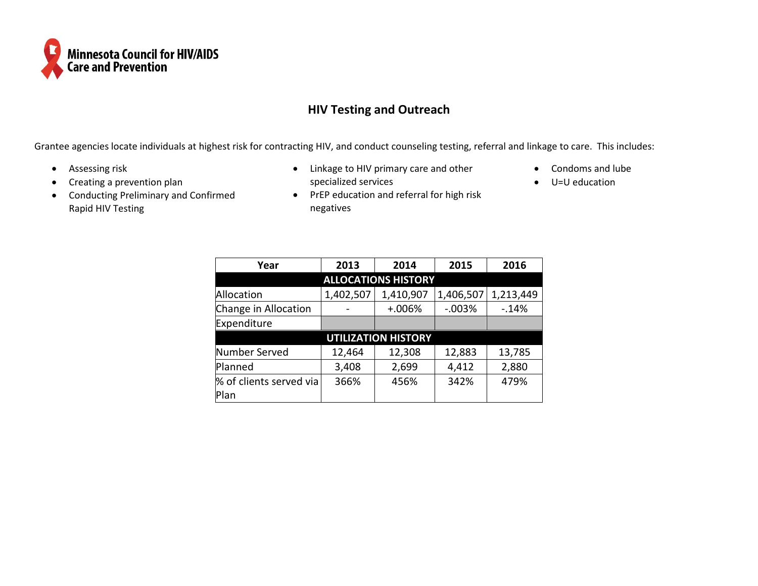

## **HIV Testing and Outreach**

Grantee agencies locate individuals at highest risk for contracting HIV, and conduct counseling testing, referral and linkage to care. This includes:

negatives

- Assessing risk
- Creating a prevention plan
- Conducting Preliminary and Confirmed Rapid HIV Testing
- Linkage to HIV primary care and other specialized services • PrEP education and referral for high risk
- Condoms and lube
- U=U education

| Year                       | 2013      | 2014      | 2015      | 2016      |  |  |  |  |  |  |  |
|----------------------------|-----------|-----------|-----------|-----------|--|--|--|--|--|--|--|
| <b>ALLOCATIONS HISTORY</b> |           |           |           |           |  |  |  |  |  |  |  |
| Allocation                 | 1,402,507 | 1,410,907 | 1,406,507 | 1,213,449 |  |  |  |  |  |  |  |
| Change in Allocation       |           | $+.006%$  | $-0.003%$ | $-14%$    |  |  |  |  |  |  |  |
| Expenditure                |           |           |           |           |  |  |  |  |  |  |  |
| <b>UTILIZATION HISTORY</b> |           |           |           |           |  |  |  |  |  |  |  |
| Number Served              | 12,464    | 12,308    | 12,883    | 13,785    |  |  |  |  |  |  |  |
| Planned                    | 3,408     | 2,699     | 4,412     | 2,880     |  |  |  |  |  |  |  |
| % of clients served via    | 366%      | 456%      | 342%      | 479%      |  |  |  |  |  |  |  |
| Plan                       |           |           |           |           |  |  |  |  |  |  |  |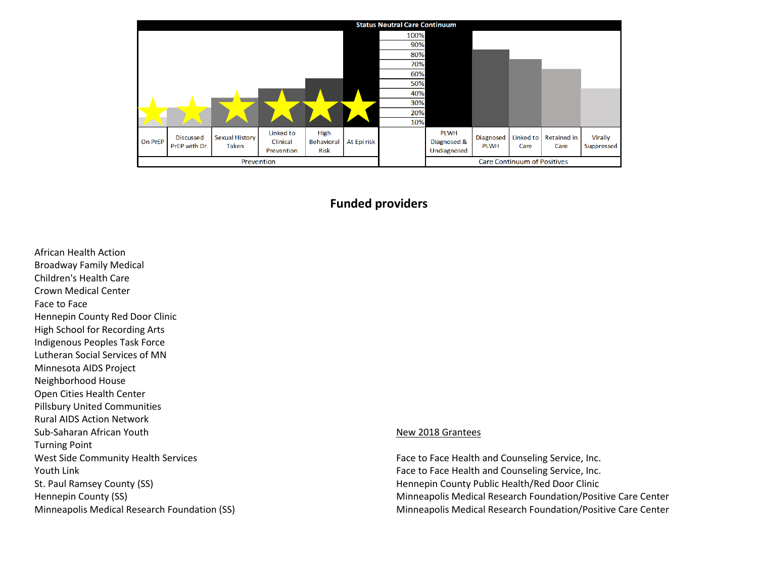|            | <b>Status Neutral Care Continuum</b> |                                       |                                     |                                    |             |      |                                           |                          |                   |                            |                              |
|------------|--------------------------------------|---------------------------------------|-------------------------------------|------------------------------------|-------------|------|-------------------------------------------|--------------------------|-------------------|----------------------------|------------------------------|
|            |                                      |                                       |                                     |                                    |             | 100% |                                           |                          |                   |                            |                              |
|            |                                      |                                       |                                     |                                    |             | 90%  |                                           |                          |                   |                            |                              |
|            |                                      |                                       |                                     |                                    |             | 80%  |                                           |                          |                   |                            |                              |
|            |                                      |                                       |                                     |                                    |             | 70%  |                                           |                          |                   |                            |                              |
|            |                                      |                                       |                                     |                                    |             | 60%  |                                           |                          |                   |                            |                              |
|            |                                      |                                       |                                     |                                    |             | 50%  |                                           |                          |                   |                            |                              |
|            |                                      |                                       |                                     |                                    |             | 40%  |                                           |                          |                   |                            |                              |
|            |                                      |                                       |                                     |                                    |             | 30%  |                                           |                          |                   |                            |                              |
|            |                                      |                                       |                                     |                                    |             | 20%  |                                           |                          |                   |                            |                              |
|            |                                      |                                       |                                     |                                    |             | 10%  |                                           |                          |                   |                            |                              |
| On PrEP    | <b>Discussed</b><br>PrEP with Dr.    | <b>Sexual History</b><br><b>Taken</b> | Linked to<br>Clinical<br>Prevention | High<br>Behavioral<br><b>Risk</b>  | At Epi risk |      | <b>PLWH</b><br>Diagnosed &<br>Undiagnosed | Diagnosed<br><b>PLWH</b> | Linked to<br>Care | <b>Retained in</b><br>Care | <b>Virally</b><br>Suppressed |
| Prevention |                                      |                                       |                                     | <b>Care Continuum of Positives</b> |             |      |                                           |                          |                   |                            |                              |

## **Funded providers**

African Health Action Broadway Family Medical Children's Health Care Crown Medical Center Face to Face Hennepin County Red Door Clinic High School for Recording Arts Indigenous Peoples Task Force Lutheran Social Services of MN Minnesota AIDS Project Neighborhood House Open Cities Health Center Pillsbury United Communities Rural AIDS Action Network Sub-Saharan African Youth Turning Point West Side Community Health Services Youth Link St. Paul Ramsey County (SS) Hennepin County (SS) Minneapolis Medical Research Foundation (SS)

## New 2018 Grantees

Face to Face Health and Counseling Service, Inc. Face to Face Health and Counseling Service, Inc. Hennepin County Public Health/Red Door Clinic Minneapolis Medical Research Foundation/Positive Care Center Minneapolis Medical Research Foundation/Positive Care Center